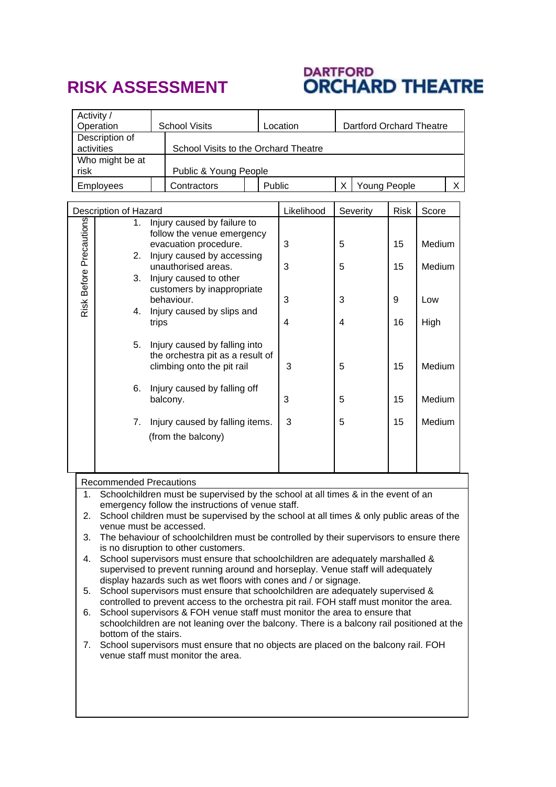## **RISK ASSESSMENT**

## DARTFORD<br>**ORCHARD THEATRE**

| Activity /<br>Operation                  |                                                                                                                                                                                                                                                                                                                                                                                                                                                                                                                                                                                                                                                                                                                                                                                                                                                                                                                                                                                                                                                                                                                                                        | <b>School Visits</b>                                                                                                                                                                                                                                                                                                     |                                      | Location |            | <b>Dartford Orchard Theatre</b> |             |                  |   |
|------------------------------------------|--------------------------------------------------------------------------------------------------------------------------------------------------------------------------------------------------------------------------------------------------------------------------------------------------------------------------------------------------------------------------------------------------------------------------------------------------------------------------------------------------------------------------------------------------------------------------------------------------------------------------------------------------------------------------------------------------------------------------------------------------------------------------------------------------------------------------------------------------------------------------------------------------------------------------------------------------------------------------------------------------------------------------------------------------------------------------------------------------------------------------------------------------------|--------------------------------------------------------------------------------------------------------------------------------------------------------------------------------------------------------------------------------------------------------------------------------------------------------------------------|--------------------------------------|----------|------------|---------------------------------|-------------|------------------|---|
|                                          | Description of<br>activities                                                                                                                                                                                                                                                                                                                                                                                                                                                                                                                                                                                                                                                                                                                                                                                                                                                                                                                                                                                                                                                                                                                           |                                                                                                                                                                                                                                                                                                                          | School Visits to the Orchard Theatre |          |            |                                 |             |                  |   |
| Who might be at<br>Public & Young People |                                                                                                                                                                                                                                                                                                                                                                                                                                                                                                                                                                                                                                                                                                                                                                                                                                                                                                                                                                                                                                                                                                                                                        |                                                                                                                                                                                                                                                                                                                          |                                      |          |            |                                 |             |                  |   |
| risk<br>Employees                        |                                                                                                                                                                                                                                                                                                                                                                                                                                                                                                                                                                                                                                                                                                                                                                                                                                                                                                                                                                                                                                                                                                                                                        | Contractors                                                                                                                                                                                                                                                                                                              |                                      | Public   |            | X<br>Young People               |             |                  | X |
|                                          |                                                                                                                                                                                                                                                                                                                                                                                                                                                                                                                                                                                                                                                                                                                                                                                                                                                                                                                                                                                                                                                                                                                                                        |                                                                                                                                                                                                                                                                                                                          |                                      |          |            |                                 |             |                  |   |
|                                          | Description of Hazard<br>Injury caused by failure to<br>1.                                                                                                                                                                                                                                                                                                                                                                                                                                                                                                                                                                                                                                                                                                                                                                                                                                                                                                                                                                                                                                                                                             |                                                                                                                                                                                                                                                                                                                          |                                      |          | Likelihood | Severity                        | <b>Risk</b> | Score            |   |
| Risk Before Precautions                  | 2.                                                                                                                                                                                                                                                                                                                                                                                                                                                                                                                                                                                                                                                                                                                                                                                                                                                                                                                                                                                                                                                                                                                                                     | follow the venue emergency<br>evacuation procedure.<br>Injury caused by accessing<br>unauthorised areas.<br>Injury caused to other<br>customers by inappropriate<br>behaviour.<br>Injury caused by slips and<br>trips<br>Injury caused by falling into<br>the orchestra pit as a result of<br>climbing onto the pit rail |                                      |          | 3<br>3     | 5<br>5                          | 15<br>15    | Medium<br>Medium |   |
|                                          | 3.<br>4.                                                                                                                                                                                                                                                                                                                                                                                                                                                                                                                                                                                                                                                                                                                                                                                                                                                                                                                                                                                                                                                                                                                                               |                                                                                                                                                                                                                                                                                                                          |                                      |          | 3          | 3                               | 9           | Low              |   |
|                                          | 5.                                                                                                                                                                                                                                                                                                                                                                                                                                                                                                                                                                                                                                                                                                                                                                                                                                                                                                                                                                                                                                                                                                                                                     |                                                                                                                                                                                                                                                                                                                          |                                      |          | 4<br>3     | 4<br>5                          | 16<br>15    | High<br>Medium   |   |
|                                          | 6.                                                                                                                                                                                                                                                                                                                                                                                                                                                                                                                                                                                                                                                                                                                                                                                                                                                                                                                                                                                                                                                                                                                                                     | balcony.                                                                                                                                                                                                                                                                                                                 | Injury caused by falling off         |          | 3          | 5                               | 15          | Medium           |   |
|                                          | 7.                                                                                                                                                                                                                                                                                                                                                                                                                                                                                                                                                                                                                                                                                                                                                                                                                                                                                                                                                                                                                                                                                                                                                     |                                                                                                                                                                                                                                                                                                                          | Injury caused by falling items.      |          | 3          | 5                               | 15          | Medium           |   |
|                                          |                                                                                                                                                                                                                                                                                                                                                                                                                                                                                                                                                                                                                                                                                                                                                                                                                                                                                                                                                                                                                                                                                                                                                        | (from the balcony)                                                                                                                                                                                                                                                                                                       |                                      |          |            |                                 |             |                  |   |
|                                          |                                                                                                                                                                                                                                                                                                                                                                                                                                                                                                                                                                                                                                                                                                                                                                                                                                                                                                                                                                                                                                                                                                                                                        |                                                                                                                                                                                                                                                                                                                          |                                      |          |            |                                 |             |                  |   |
|                                          | <b>Recommended Precautions</b>                                                                                                                                                                                                                                                                                                                                                                                                                                                                                                                                                                                                                                                                                                                                                                                                                                                                                                                                                                                                                                                                                                                         |                                                                                                                                                                                                                                                                                                                          |                                      |          |            |                                 |             |                  |   |
| 1.<br>2.<br>3.<br>4.<br>5.<br>6.<br>7.   | Schoolchildren must be supervised by the school at all times & in the event of an<br>emergency follow the instructions of venue staff.<br>School children must be supervised by the school at all times & only public areas of the<br>venue must be accessed.<br>The behaviour of schoolchildren must be controlled by their supervisors to ensure there<br>is no disruption to other customers.<br>School supervisors must ensure that schoolchildren are adequately marshalled &<br>supervised to prevent running around and horseplay. Venue staff will adequately<br>display hazards such as wet floors with cones and / or signage.<br>School supervisors must ensure that schoolchildren are adequately supervised &<br>controlled to prevent access to the orchestra pit rail. FOH staff must monitor the area.<br>School supervisors & FOH venue staff must monitor the area to ensure that<br>schoolchildren are not leaning over the balcony. There is a balcony rail positioned at the<br>bottom of the stairs.<br>School supervisors must ensure that no objects are placed on the balcony rail. FOH<br>venue staff must monitor the area. |                                                                                                                                                                                                                                                                                                                          |                                      |          |            |                                 |             |                  |   |
|                                          |                                                                                                                                                                                                                                                                                                                                                                                                                                                                                                                                                                                                                                                                                                                                                                                                                                                                                                                                                                                                                                                                                                                                                        |                                                                                                                                                                                                                                                                                                                          |                                      |          |            |                                 |             |                  |   |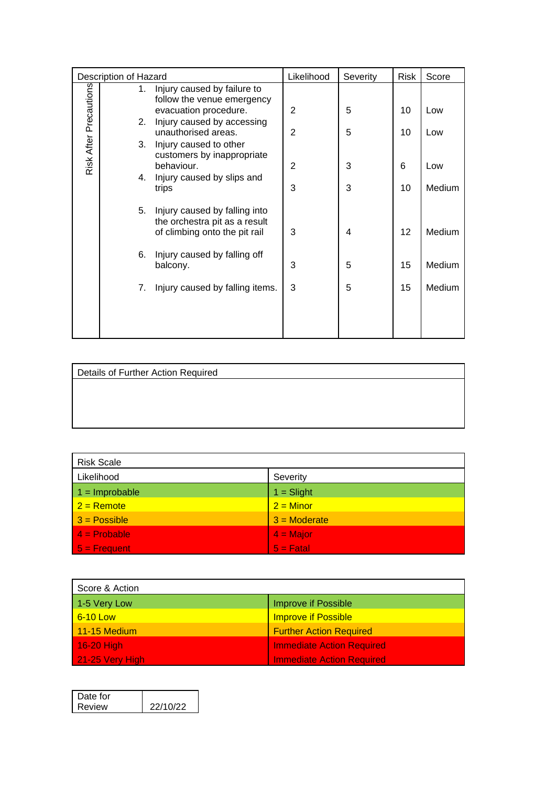| Description of Hazard  |  | Likelihood                                                           | Severity       | <b>Risk</b> | Score |        |
|------------------------|--|----------------------------------------------------------------------|----------------|-------------|-------|--------|
|                        |  | Injury caused by failure to<br>1.<br>follow the venue emergency      |                |             |       |        |
|                        |  | evacuation procedure.                                                | 2              | 5           | 10    | Low    |
|                        |  | Injury caused by accessing<br>2.<br>unauthorised areas.              | $\overline{2}$ | 5           | 10    | Low    |
|                        |  | 3.<br>Injury caused to other                                         |                |             |       |        |
| Risk After Precautions |  | customers by inappropriate<br>behaviour.                             | $\overline{2}$ | 3           | 6     | Low    |
|                        |  | Injury caused by slips and<br>4.                                     |                |             |       |        |
|                        |  | trips                                                                | 3              | 3           | 10    | Medium |
|                        |  | 5.<br>Injury caused by falling into<br>the orchestra pit as a result |                |             |       |        |
|                        |  | of climbing onto the pit rail                                        | 3              | 4           | 12    | Medium |
|                        |  | 6.<br>Injury caused by falling off                                   |                |             |       |        |
|                        |  | balcony.                                                             | 3              | 5           | 15    | Medium |
|                        |  | Injury caused by falling items.<br>7.                                | 3              | 5           | 15    | Medium |
|                        |  |                                                                      |                |             |       |        |
|                        |  |                                                                      |                |             |       |        |
|                        |  |                                                                      |                |             |       |        |

Details of Further Action Required

| <b>Risk Scale</b> |                |  |  |  |
|-------------------|----------------|--|--|--|
| Likelihood        | Severity       |  |  |  |
| $1 =$ Improbable  | $1 =$ Slight   |  |  |  |
| $2 =$ Remote      | $2 =$ Minor    |  |  |  |
| $3 = Possible$    | $3 =$ Moderate |  |  |  |
| $4 = Problem$     | $4 =$ Major    |  |  |  |
| $5 =$ Frequent    | $5 -$ Fatal    |  |  |  |

| Score & Action  |                                  |  |  |  |
|-----------------|----------------------------------|--|--|--|
| 1-5 Very Low    | <b>Improve if Possible</b>       |  |  |  |
| 6-10 Low        | <b>Improve if Possible</b>       |  |  |  |
| $11-15$ Medium  | <b>Further Action Required</b>   |  |  |  |
| 16-20 High      | <b>Immediate Action Required</b> |  |  |  |
| 21-25 Very High | <b>Immediate Action Required</b> |  |  |  |

| Date for |          |
|----------|----------|
| Review   | 22/10/22 |